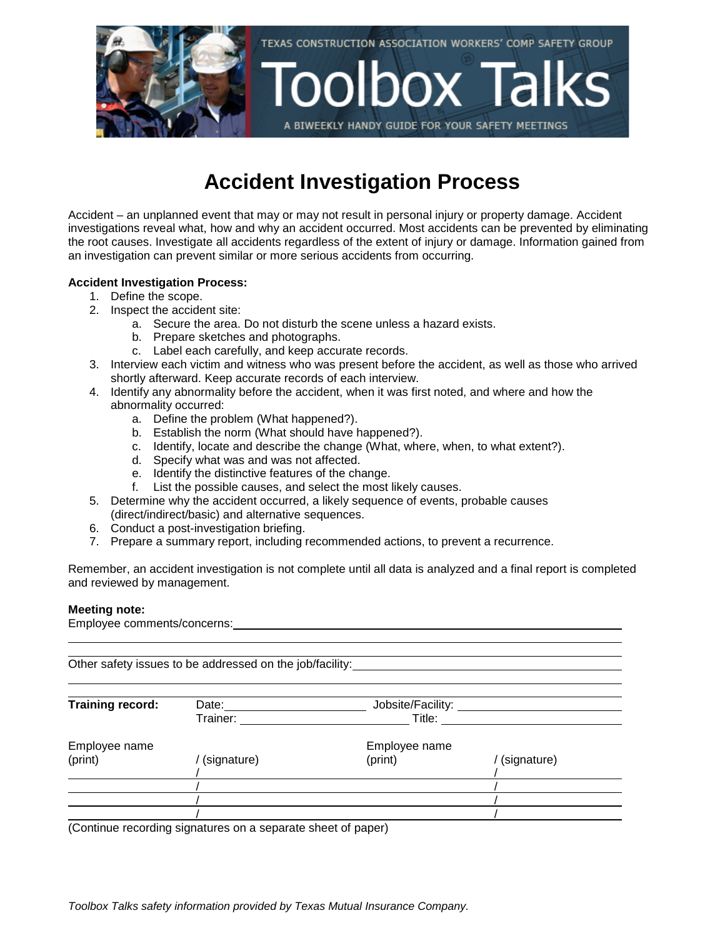

## **Accident Investigation Process**

Accident – an unplanned event that may or may not result in personal injury or property damage. Accident investigations reveal what, how and why an accident occurred. Most accidents can be prevented by eliminating the root causes. Investigate all accidents regardless of the extent of injury or damage. Information gained from an investigation can prevent similar or more serious accidents from occurring.

## **Accident Investigation Process:**

- 1. Define the scope.
- 2. Inspect the accident site:
	- a. Secure the area. Do not disturb the scene unless a hazard exists.
	- b. Prepare sketches and photographs.
	- c. Label each carefully, and keep accurate records.
- 3. Interview each victim and witness who was present before the accident, as well as those who arrived shortly afterward. Keep accurate records of each interview.
- 4. Identify any abnormality before the accident, when it was first noted, and where and how the abnormality occurred:
	- a. Define the problem (What happened?).
	- b. Establish the norm (What should have happened?).
	- c. Identify, locate and describe the change (What, where, when, to what extent?).
	- d. Specify what was and was not affected.
	- e. Identify the distinctive features of the change.
	- f. List the possible causes, and select the most likely causes.
- 5. Determine why the accident occurred, a likely sequence of events, probable causes (direct/indirect/basic) and alternative sequences.
- 6. Conduct a post-investigation briefing.
- 7. Prepare a summary report, including recommended actions, to prevent a recurrence.

Remember, an accident investigation is not complete until all data is analyzed and a final report is completed and reviewed by management.

## **Meeting note:**

Employee comments/concerns:

Other safety issues to be addressed on the job/facility: **Training record:** Date: Date: Date: Jobsite/Facility: \_\_\_\_\_\_\_\_\_\_\_\_\_\_\_\_\_\_\_\_\_\_\_\_\_\_<br>Trainer: Title: Title: Trainer: Title: Employee name Employee name (print) / (signature) (print) / (signature) / / / /  $\frac{1}{1}$ / / (Continue recording signatures on a separate sheet of paper)

*Toolbox Talks safety information provided by Texas Mutual Insurance Company.*